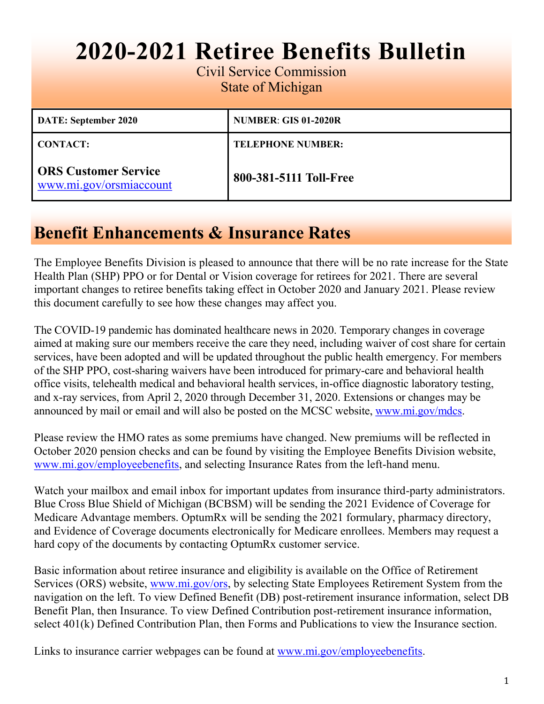# **2020-2021 Retiree Benefits Bulletin**

Civil Service Commission State of Michigan

| DATE: September 2020                                   | <b>NUMBER: GIS 01-2020R</b> |
|--------------------------------------------------------|-----------------------------|
| <b>CONTACT:</b>                                        | <b>TELEPHONE NUMBER:</b>    |
| <b>ORS Customer Service</b><br>www.mi.gov/orsmiaccount | 800-381-5111 Toll-Free      |

### **Benefit Enhancements & Insurance Rates**

The Employee Benefits Division is pleased to announce that there will be no rate increase for the State Health Plan (SHP) PPO or for Dental or Vision coverage for retirees for 2021. There are several important changes to retiree benefits taking effect in October 2020 and January 2021. Please review this document carefully to see how these changes may affect you.

 The COVID-19 pandemic has dominated healthcare news in 2020. Temporary changes in coverage aimed at making sure our members receive the care they need, including waiver of cost share for certain services, have been adopted and will be updated throughout the public health emergency. For members of the SHP PPO, cost-sharing waivers have been introduced for primary-care and behavioral health office visits, telehealth medical and behavioral health services, in-office diagnostic laboratory testing, and x-ray services, from April 2, 2020 through December 31, 2020. Extensions or changes may be announced by mail or email and will also be posted on the MCSC website, [www.mi.gov/mdcs.](https://www.michigan.gov/mdcs/)

Please review the HMO rates as some premiums have changed. New premiums will be reflected in October 2020 pension checks and can be found by visiting the Employee Benefits Division website, [www.mi.gov/employeebenefits,](https://www.michigan.gov/mdcs/0,4614,7-147-22854---,00.html) and selecting Insurance Rates from the left-hand menu.

Watch your mailbox and email inbox for important updates from insurance third-party administrators. Blue Cross Blue Shield of Michigan (BCBSM) will be sending the 2021 Evidence of Coverage for Medicare Advantage members. OptumRx will be sending the 2021 formulary, pharmacy directory, and Evidence of Coverage documents electronically for Medicare enrollees. Members may request a hard copy of the documents by contacting OptumRx customer service.

Basic information about retiree insurance and eligibility is available on the Office of Retirement Services (ORS) website, [www.mi.gov/ors,](https://www.michigan.gov/ors) by selecting State Employees Retirement System from the navigation on the left. To view Defined Benefit (DB) post-retirement insurance information, select DB Benefit Plan, then Insurance. To view Defined Contribution post-retirement insurance information, select 401(k) Defined Contribution Plan, then Forms and Publications to view the Insurance section.

Links to insurance carrier webpages can be found at [www.mi.gov/employeebenefits.](https://www.michigan.gov/mdcs/0,4614,7-147-22854---,00.html)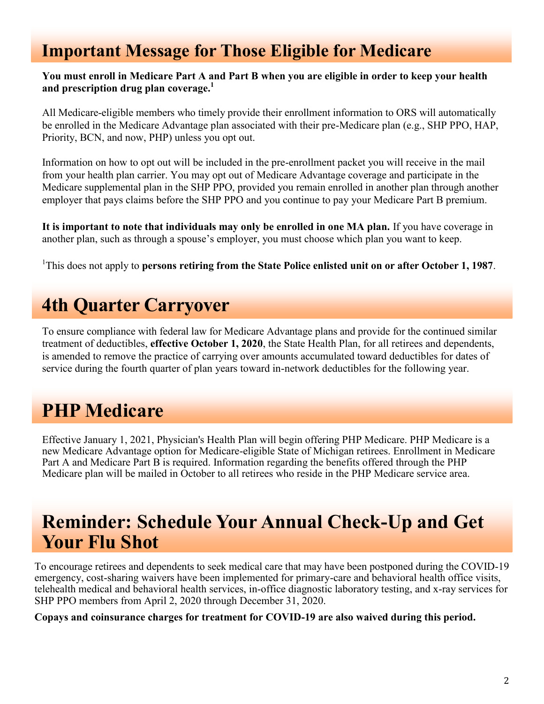### **Important Message for Those Eligible for Medicare**

#### **You must enroll in Medicare Part A and Part B when you are eligible in order to keep your health and prescription drug plan coverage.<sup>1</sup>**

All Medicare-eligible members who timely provide their enrollment information to ORS will automatically be enrolled in the Medicare Advantage plan associated with their pre-Medicare plan (e.g., SHP PPO, HAP, Priority, BCN, and now, PHP) unless you opt out.

 Medicare supplemental plan in the SHP PPO, provided you remain enrolled in another plan through another Information on how to opt out will be included in the pre-enrollment packet you will receive in the mail from your health plan carrier. You may opt out of Medicare Advantage coverage and participate in the employer that pays claims before the SHP PPO and you continue to pay your Medicare Part B premium.

**It is important to note that individuals may only be enrolled in one MA plan.** If you have coverage in another plan, such as through a spouse's employer, you must choose which plan you want to keep.

 1 This does not apply to **persons retiring from the State Police enlisted unit on or after October 1, 1987**.

# **4th Quarter Carryover**

To ensure compliance with federal law for Medicare Advantage plans and provide for the continued similar treatment of deductibles, **effective October 1, 2020**, the State Health Plan, for all retirees and dependents, is amended to remove the practice of carrying over amounts accumulated toward deductibles for dates of service during the fourth quarter of plan years toward in-network deductibles for the following year.

## **PHP Medicare**

Effective January 1, 2021, Physician's Health Plan will begin offering PHP Medicare. PHP Medicare is a new Medicare Advantage option for Medicare-eligible State of Michigan retirees. Enrollment in Medicare Part A and Medicare Part B is required. Information regarding the benefits offered through the PHP Medicare plan will be mailed in October to all retirees who reside in the PHP Medicare service area.

### **Reminder: Schedule Your Annual Check-Up and Get Your Flu Shot**

To encourage retirees and dependents to seek medical care that may have been postponed during the COVID-19 emergency, cost-sharing waivers have been implemented for primary-care and behavioral health office visits, telehealth medical and behavioral health services, in-office diagnostic laboratory testing, and x-ray services for SHP PPO members from April 2, 2020 through December 31, 2020.

**Copays and coinsurance charges for treatment for COVID-19 are also waived during this period.**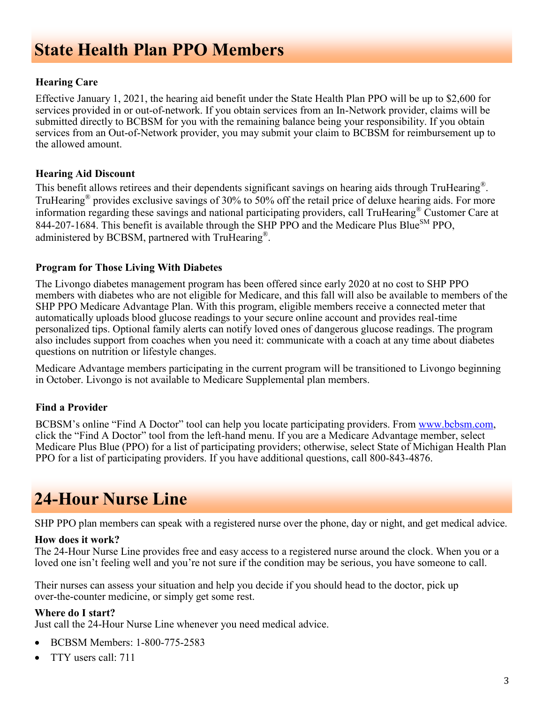### **State Health Plan PPO Members**

#### **Hearing Care**

 services provided in or out-of-network. If you obtain services from an In-Network provider, claims will be Effective January 1, 2021, the hearing aid benefit under the State Health Plan PPO will be up to \$2,600 for submitted directly to BCBSM for you with the remaining balance being your responsibility. If you obtain services from an Out-of-Network provider, you may submit your claim to BCBSM for reimbursement up to the allowed amount.

#### **Hearing Aid Discount**

This benefit allows retirees and their dependents significant savings on hearing aids through TruHearing®. TruHearing® provides exclusive savings of 30% to 50% off the retail price of deluxe hearing aids. For more information regarding these savings and national participating providers, call TruHearing® Customer Care at 844-207-1684. This benefit is available through the SHP PPO and the Medicare Plus Blue<sup>SM</sup> PPO. administered by BCBSM, partnered with TruHearing®.

#### **Program for Those Living With Diabetes**

The Livongo diabetes management program has been offered since early 2020 at no cost to SHP PPO members with diabetes who are not eligible for Medicare, and this fall will also be available to members of the SHP PPO Medicare Advantage Plan. With this program, eligible members receive a connected meter that automatically uploads blood glucose readings to your secure online account and provides real-time personalized tips. Optional family alerts can notify loved ones of dangerous glucose readings. The program also includes support from coaches when you need it: communicate with a coach at any time about diabetes questions on nutrition or lifestyle changes.

Medicare Advantage members participating in the current program will be transitioned to Livongo beginning in October. Livongo is not available to Medicare Supplemental plan members.

#### **Find a Provider**

BCBSM's online "Find A Doctor" tool can help you locate participating providers. From [www.bcbsm.com,](https://gcc01.safelinks.protection.outlook.com/?url=http%3A%2F%2Fwww.bcbsm.com%2F&data=02%7C01%7CParksC4%40michigan.gov%7Cf7d8351185ac47ab126e08d85658e28d%7Cd5fb7087377742ad966a892ef47225d1%7C0%7C0%7C637354287037761421&sdata=W8mlKWL%2FVdG60B%2BiJFTOo796iLErrS) click the "Find A Doctor" tool from the left-hand menu. If you are a Medicare Advantage member, select Medicare Plus Blue (PPO) for a list of participating providers; otherwise, select State of Michigan Health Plan PPO for a list of participating providers. If you have additional questions, call 800-843-4876.

### **24-Hour Nurse Line**

SHP PPO plan members can speak with a registered nurse over the phone, day or night, and get medical advice.

#### **How does it work?**

The 24‑Hour Nurse Line provides free and easy access to a registered nurse around the clock. When you or a loved one isn't feeling well and you're not sure if the condition may be serious, you have someone to call.

over-the-counter medicine, or simply get some rest. Their nurses can assess your situation and help you decide if you should head to the doctor, pick up

#### **Where do I start?**

Just call the 24‑Hour Nurse Line whenever you need medical advice.

- BCBSM Members: 1‑800‑775‑2583
- TTY users call: 711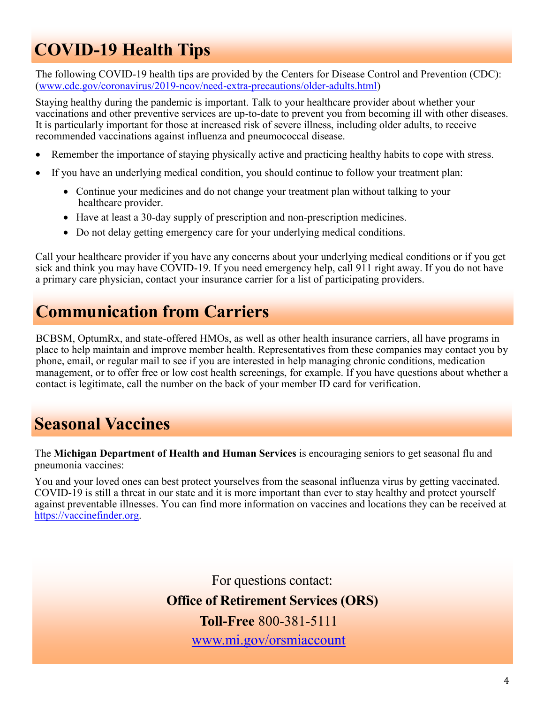# **COVID-19 Health Tips**

The following COVID-19 health tips are provided by the Centers for Disease Control and Prevention (CDC): ([www.cdc.gov/coronavirus/2019](https://www.cdc.gov/coronavirus/2019-ncov/need-extra-precautions/older-adults.html)-ncov/need-extra-precautions/older-adults.html)

Staying healthy during the pandemic is important. Talk to your healthcare provider about whether your vaccinations and other preventive services are up-to-date to prevent you from becoming ill with other diseases. It is particularly important for those at increased risk of severe illness, including older adults, to receive recommended vaccinations against influenza and pneumococcal disease.

- Remember the importance of staying physically active and practicing healthy habits to cope with stress.
- • If you have an underlying medical condition, you should continue to follow your treatment plan:
	- • Continue your medicines and do not change your treatment plan without talking to your healthcare provider.
	- Have at least a 30-day supply of prescription and non-prescription medicines.
	- Do not delay getting emergency care for your underlying medical conditions.

 a primary care physician, contact your insurance carrier for a list of participating providers. Call your healthcare provider if you have any concerns about your underlying medical conditions or if you get sick and think you may have COVID-19. If you need emergency help, call 911 right away. If you do not have

### **Communication from Carriers**

 management, or to offer free or low cost health screenings, for example. If you have questions about whether a BCBSM, OptumRx, and state-offered HMOs, as well as other health insurance carriers, all have programs in place to help maintain and improve member health. Representatives from these companies may contact you by phone, email, or regular mail to see if you are interested in help managing chronic conditions, medication contact is legitimate, call the number on the back of your member ID card for verification.

### **Seasonal Vaccines**

The **Michigan Department of Health and Human Services** is encouraging seniors to get seasonal flu and pneumonia vaccines:

 against preventable illnesses. You can find more information on vaccines and locations they can be received at You and your loved ones can best protect yourselves from the seasonal influenza virus by getting vaccinated. COVID-19 is still a threat in our state and it is more important than ever to stay healthy and protect yourself [https://vaccinefinder.org.](https://vaccinefinder.org/) 

> For questions contact:  **Office of Retirement Services (ORS) Toll-Free** 800-381-5111 [www.mi.gov/orsmiaccount](https://ssprd.state.mi.us/wss/security/login.do?method=showLogin&retirementSystemId=1030)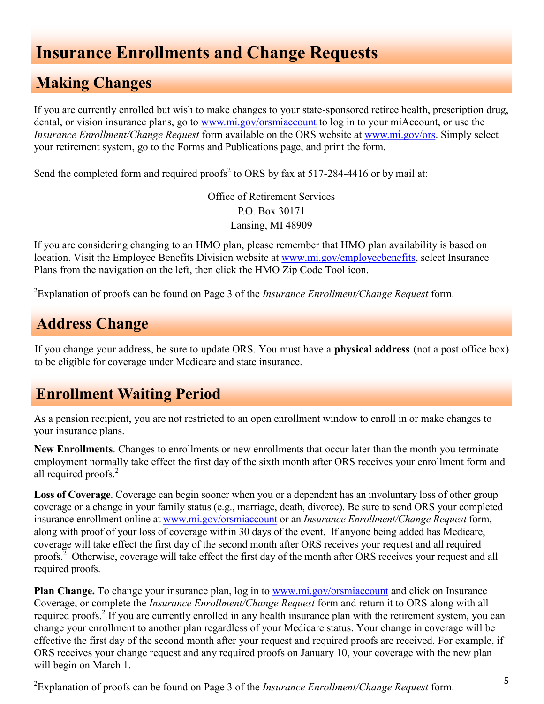### **Insurance Enrollments and Change Requests**

#### **Making Changes**

If you are currently enrolled but wish to make changes to your state-sponsored retiree health, prescription drug, dental, or vision insurance plans, go to [www.mi.gov/orsmiaccount](http://www.michigan.gov/orsmiaccount) to log in to your miAccount, or use the *[Insurance Enrollment/Change Request](https://www.michigan.gov/documents/orsstatedb/R0452GH_244205_7.pdf)* form available on the ORS website at [www.mi.gov/ors.](http://www.michigan.gov/ors) Simply select your retirement system, go to the Forms and Publications page, and print the form.

Send the completed form and required proofs<sup>2</sup> to ORS by fax at 517-284-4416 or by mail at:

Office of Retirement Services P.O. Box 30171 Lansing, MI 48909

If you are considering changing to an HMO plan, please remember that HMO plan availability is based on location. Visit the Employee Benefits Division website at [www.mi.gov/employeebenefits,](http://www.michigan.gov/employeebenefits) select Insurance Plans from the navigation on the left, then click the HMO Zip Code Tool icon.

2 Explanation of proofs can be found on Page 3 of the *[Insurance Enrollment/Change Request](https://www.michigan.gov/documents/orsstatedb/R0452GH_244205_7.pdf)* form.

### **Address Change**

 If you change your address, be sure to update ORS. You must have a **physical address** (not a post office box) to be eligible for coverage under Medicare and state insurance.

#### **Enrollment Waiting Period**

As a pension recipient, you are not restricted to an open enrollment window to enroll in or make changes to your insurance plans.

**New Enrollments**. Changes to enrollments or new enrollments that occur later than the month you terminate employment normally take effect the first day of the sixth month after ORS receives your enrollment form and all required proofs.<sup>2</sup>

 **Loss of Coverage**. Coverage can begin sooner when you or a dependent has an involuntary loss of other group coverage or a change in your family status (e.g., marriage, death, divorce). Be sure to send ORS your completed insurance enrollment online at [www.mi.gov/orsmiaccount](http://www.michigan.gov/orsmiaccount) or an *Insurance [Enrollment/Change](https://www.michigan.gov/documents/orsstatedb/R0452GH_244205_7.pdf) Request* form, along with proof of your loss of coverage within 30 days of the event. If anyone being added has Medicare, coverage will take effect the first day of the second month after ORS receives your request and all required proofs. $^{2}$  Otherwise, coverage will take effect the first day of the month after ORS receives your request and all required proofs.

**Plan Change.** To change your insurance plan, log in to [www.mi.gov/orsmiaccount](http://www.michigan.gov/orsmiaccount) and click on Insurance Coverage, or complete the *[Insurance Enrollment/Change Request](https://www.michigan.gov/documents/orsstatedb/R0452GH_244205_7.pdf)* form and return it to ORS along with all required proofs.<sup>2</sup> If you are currently enrolled in any health insurance plan with the retirement system, you can change your enrollment to another plan regardless of your Medicare status. Your change in coverage will be effective the first day of the second month after your request and required proofs are received. For example, if ORS receives your change request and any required proofs on January 10, your coverage with the new plan will begin on March 1.

<sup>2</sup> Explanation of proofs can be found on Page 3 of the *[Insurance Enrollment/Change Request](https://www.michigan.gov/documents/orsstatedb/R0452GH_244205_7.pdf)* form.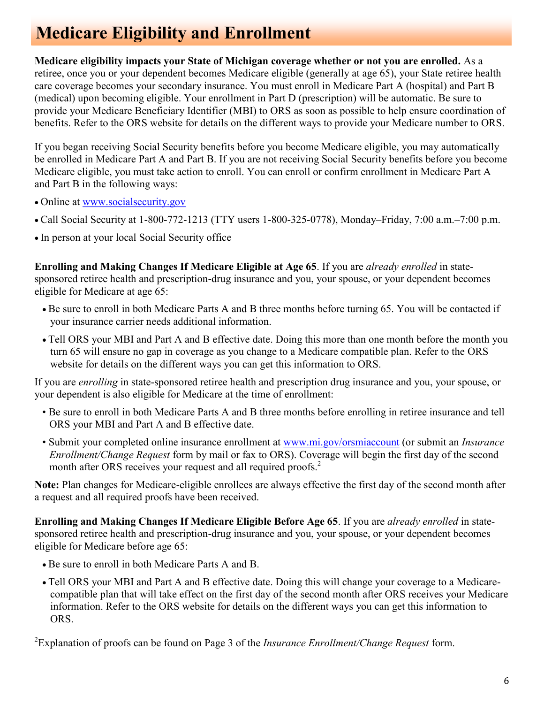### **Medicare Eligibility and Enrollment**

 retiree, once you or your dependent becomes Medicare eligible (generally at age 65), your State retiree health provide your Medicare Beneficiary Identifier (MBI) to ORS as soon as possible to help ensure coordination of **Medicare eligibility impacts your State of Michigan coverage whether or not you are enrolled.** As a care coverage becomes your secondary insurance. You must enroll in Medicare Part A (hospital) and Part B (medical) upon becoming eligible. Your enrollment in Part D (prescription) will be automatic. Be sure to benefits. Refer to the [ORS website](https://www.michigan.gov/orsstatedb/0,4654,7-208-30608_48469_68108---,00.html) for details on the different ways to provide your Medicare number to ORS.

If you began receiving Social Security benefits before you become Medicare eligible, you may automatically be enrolled in Medicare Part A and Part B. If you are not receiving Social Security benefits before you become Medicare eligible, you must take action to enroll. You can enroll or confirm enrollment in Medicare Part A and Part B in the following ways:

- Online at [www.socialsecurity.gov](https://www.ssa.gov/)
- Call Social Security at 1-800-772-1213 (TTY users 1-800-325-0778), Monday–Friday, 7:00 a.m.–7:00 p.m.
- In person at your local Social Security office

**Enrolling and Making Changes If Medicare Eligible at Age 65**. If you are *already enrolled* in statesponsored retiree health and prescription-drug insurance and you, your spouse, or your dependent becomes eligible for Medicare at age 65:

- Be sure to enroll in both Medicare Parts A and B three months before turning 65. You will be contacted if your insurance carrier needs additional information.
- • Tell ORS your MBI and Part A and B effective date. Doing this more than one month before the month you turn 65 will ensure no gap in coverage as you change to a Medicare compatible plan. Refer to the [ORS](https://www.michigan.gov/orsstatedb/0,4654,7-208-30608_48469_68108---,00.html) [website](https://www.michigan.gov/orsstatedb/0,4654,7-208-30608_48469_68108---,00.html) for details on the different ways you can get this information to ORS.

 If you are *enrolling* in state-sponsored retiree health and prescription drug insurance and you, your spouse, or your dependent is also eligible for Medicare at the time of enrollment:

- Be sure to enroll in both Medicare Parts A and B three months before enrolling in retiree insurance and tell ORS your MBI and Part A and B effective date.
- month after ORS receives your request and all required proofs.<sup>2</sup> • Submit your completed online insurance enrollment at [www.mi.gov/orsmiaccount](https://ssprd.state.mi.us/wss/security/login.do?method=showLogin&retirementSystemId=1030) (or submit an *[Insurance](https://www.michigan.gov/documents/orsstatedb/R0452GH_244205_7.pdf) [Enrollment/Change Request](https://www.michigan.gov/documents/orsstatedb/R0452GH_244205_7.pdf)* form by mail or fax to ORS). Coverage will begin the first day of the second

**Note:** Plan changes for Medicare-eligible enrollees are always effective the first day of the second month after a request and all required proofs have been received.

 **Enrolling and Making Changes If Medicare Eligible Before Age 65**. If you are *already enrolled* in statesponsored retiree health and prescription-drug insurance and you, your spouse, or your dependent becomes eligible for Medicare before age 65:

- Be sure to enroll in both Medicare Parts A and B.
- • Tell ORS your MBI and Part A and B effective date. Doing this will change your coverage to a Medicare- compatible plan that will take effect on the first day of the second month after ORS receives your Medicare information. Refer to the [ORS website](https://www.michigan.gov/orsstatedb/0,4654,7-208-30608_48469_68108---,00.html) for details on the different ways you can get this information to ORS.

2 Explanation of proofs can be found on Page 3 of the *[Insurance Enrollment/Change Request](https://www.michigan.gov/documents/orsstatedb/R0452GH_244205_7.pdf)* form.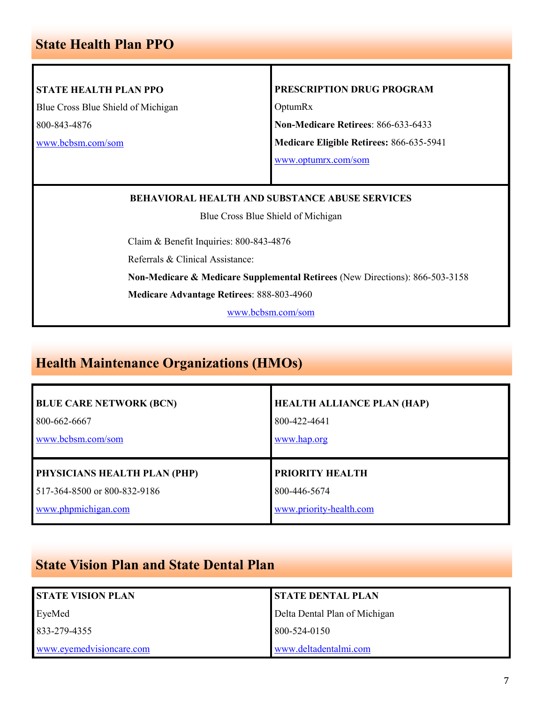#### **State Health Plan PPO**

#### **STATE HEALTH PLAN PPO**

Blue Cross Blue Shield of Michigan 800-843-4876

[www.bcbsm.com/som](http://www.bcbsm.com/som)

#### **PRESCRIPTION DRUG PROGRAM**

OptumRx

**Non-Medicare Retirees**: 866-633-6433

**Medicare Eligible Retirees:** 866-635-5941

[www.optumrx.com/som](https://informedrx.rxportal.sxc.com/rxclaim/SOM/SOM.html)

#### **BEHAVIORAL HEALTH AND SUBSTANCE ABUSE SERVICES**

Blue Cross Blue Shield of Michigan

Claim & Benefit Inquiries: 800-843-4876

Referrals & Clinical Assistance:

**Non-Medicare & Medicare Supplemental Retirees** (New Directions): 866-503-3158

**Medicare Advantage Retirees**: 888-803-4960

[www.bcbsm.com/som](http://www.bcbsm.com/som)

#### **Health Maintenance Organizations (HMOs)**

| <b>BLUE CARE NETWORK (BCN)</b> | <b>HEALTH ALLIANCE PLAN (HAP)</b> |
|--------------------------------|-----------------------------------|
| 800-662-6667                   | 800-422-4641                      |
| www.bcbsm.com/som              | www.hap.org                       |
| PHYSICIANS HEALTH PLAN (PHP)   | <b>PRIORITY HEALTH</b>            |
| 517-364-8500 or 800-832-9186   | 800-446-5674                      |
| www.phpmichigan.com            | www.priority-health.com           |

#### **State Vision Plan and State Dental Plan**

| <b>STATE VISION PLAN</b> | <b>STATE DENTAL PLAN</b>      |
|--------------------------|-------------------------------|
| EveMed                   | Delta Dental Plan of Michigan |
| 833-279-4355             | 800-524-0150                  |
| www.eyemedvisioncare.com | www.deltadentalmi.com         |